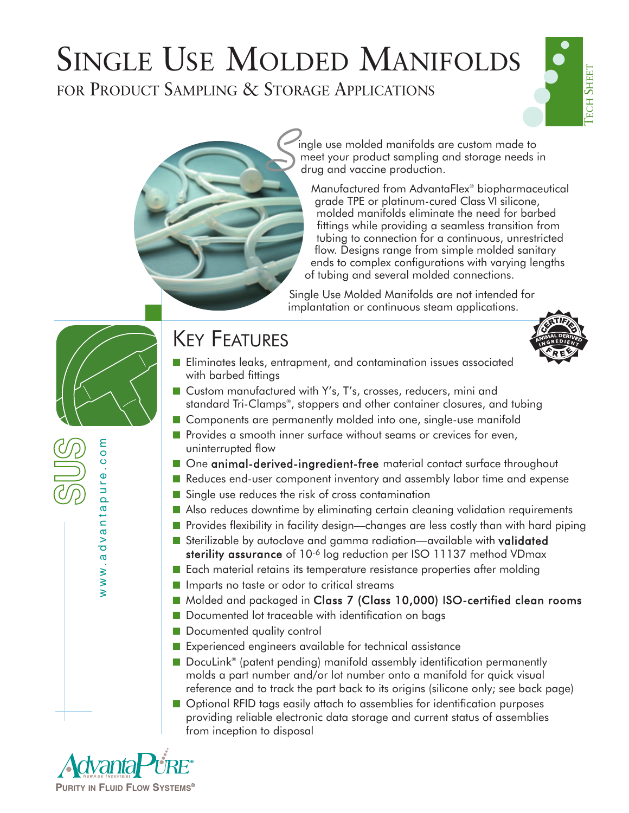FOR PRODUCT SAMPLING & STORAGE APPLICATIONS



ingle use molded manifolds are custom made to meet your product sampling and storage needs in drug and vaccine production. *S*

Manufactured from AdvantaFlex® biopharmaceutical grade TPE or platinum-cured Class VI silicone, molded manifolds eliminate the need for barbed fittings while providing a seamless transition from tubing to connection for a continuous, unrestricted flow. Designs range from simple molded sanitary ends to complex configurations with varying lengths of tubing and several molded connections.

Single Use Molded Manifolds are not intended for implantation or continuous steam applications.

## KEY FEATURES



- Eliminates leaks, entrapment, and contamination issues associated with barbed fittings
- Custom manufactured with Y's, T's, crosses, reducers, mini and standard Tri-Clamps®, stoppers and other container closures, and tubing
- Components are permanently molded into one, single-use manifold
- Provides a smooth inner surface without seams or crevices for even, uninterrupted flow
- One animal-derived-ingredient-free material contact surface throughout
- Reduces end-user component inventory and assembly labor time and expense
- Single use reduces the risk of cross contamination
- Also reduces downtime by eliminating certain cleaning validation requirements
- Provides flexibility in facility design—changes are less costly than with hard piping
- Sterilizable by autoclave and gamma radiation—available with validated sterility assurance of 10<sup>-6</sup> log reduction per ISO 11137 method VDmax
- Each material retains its temperature resistance properties after molding
- Imparts no taste or odor to critical streams
- Molded and packaged in Class 7 (Class 10,000) ISO-certified clean rooms
- Documented lot traceable with identification on bags
- Documented quality control
- Experienced engineers available for technical assistance
- DocuLink<sup>®</sup> (patent pending) manifold assembly identification permanently molds a part number and/or lot number onto a manifold for quick visual reference and to track the part back to its origins (silicone only; see back page)
- Optional RFID tags easily attach to assemblies for identification purposes providing reliable electronic data storage and current status of assemblies from inception to disposal



www.advantapure.com

www.advantapure.c

ε  $\overline{\mathsf{C}}$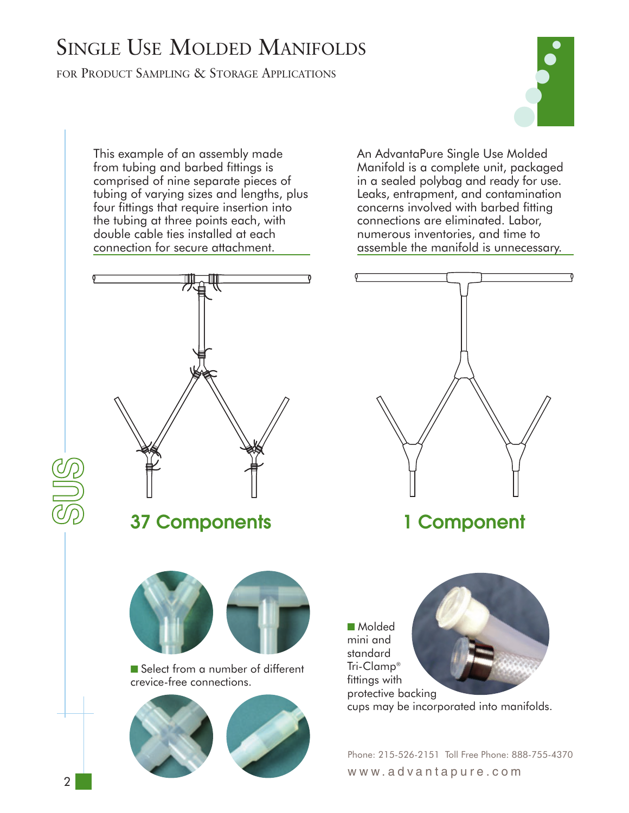FOR PRODUCT SAMPLING & STORAGE APPLICATIONS



This example of an assembly made from tubing and barbed fittings is comprised of nine separate pieces of tubing of varying sizes and lengths, plus four fittings that require insertion into the tubing at three points each, with double cable ties installed at each connection for secure attachment.



An AdvantaPure Single Use Molded Manifold is a complete unit, packaged in a sealed polybag and ready for use. Leaks, entrapment, and contamination concerns involved with barbed fitting connections are eliminated. Labor, numerous inventories, and time to assemble the manifold is unnecessary.



## **1 Component**

■ Molded mini and standard Tri-Clamp® fittings with protective backing cups may be incorporated into manifolds.

Phone: 215-526-2151 Toll Free Phone: 888-755-4370 www.advantapure.com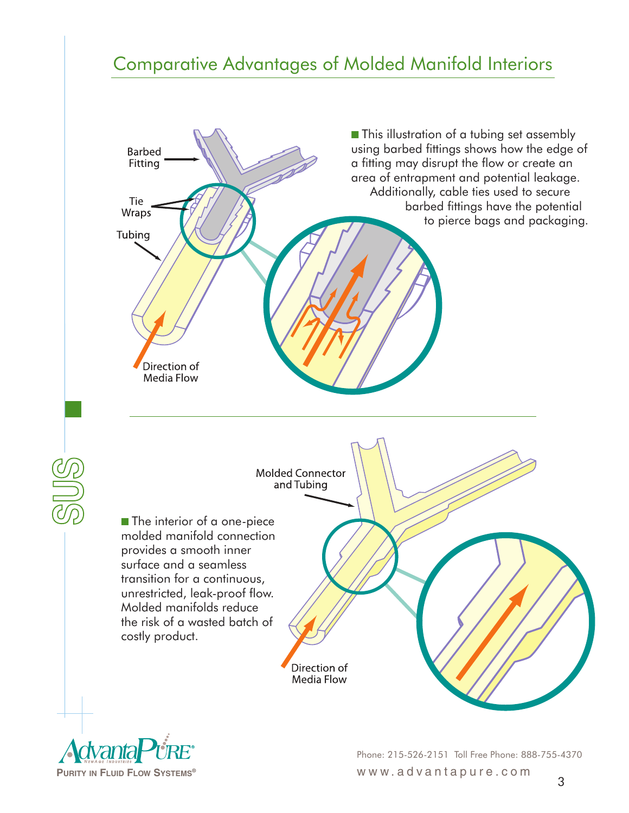## **Comparative Advantages of Molded Manifold Interiors**



Phone: 215-526-2151 Toll Free Phone: 888-755-4370 **PURITY IN FLUID FLOW SYSTEMS®** www.advantapure.com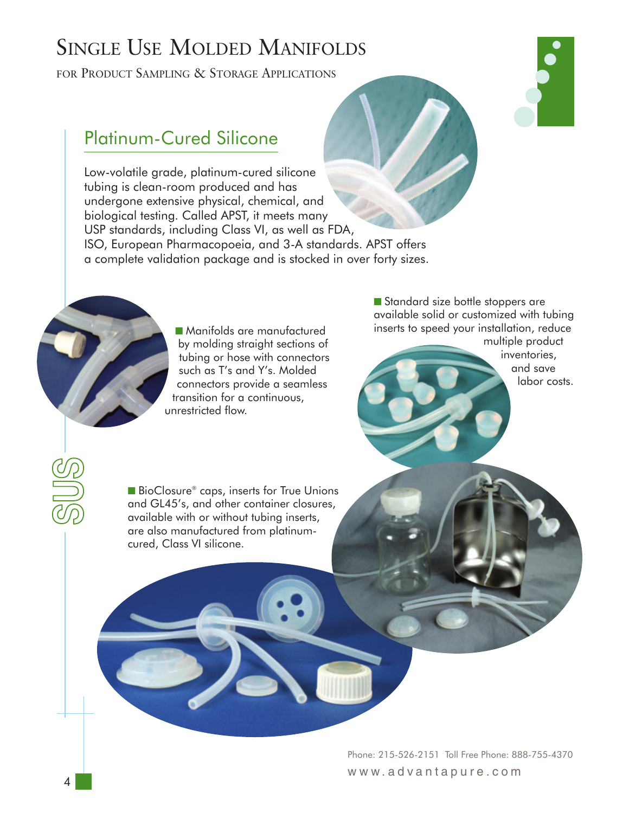FOR PRODUCT SAMPLING & STORAGE APPLICATIONS

#### Platinum-Cured Silicone

Low-volatile grade, platinum-cured silicone tubing is clean-room produced and has undergone extensive physical, chemical, and biological testing. Called APST, it meets many USP standards, including Class VI, as well as FDA, ISO, European Pharmacopoeia, and 3-A standards. APST offers a complete validation package and is stocked in over forty sizes.



■ Manifolds are manufactured by molding straight sections of tubing or hose with connectors such as T's and Y's. Molded connectors provide a seamless transition for a continuous, unrestricted flow.

■ Standard size bottle stoppers are available solid or customized with tubing inserts to speed your installation, reduce multiple product

inventories, and save labor costs.

●

● ● ●

■ BioClosure® caps, inserts for True Unions and GL45's, and other container closures, available with or without tubing inserts, are also manufactured from platinumcured, Class VI silicone.

> Phone: 215-526-2151 Toll Free Phone: 888-755-4370 www.advantapure.com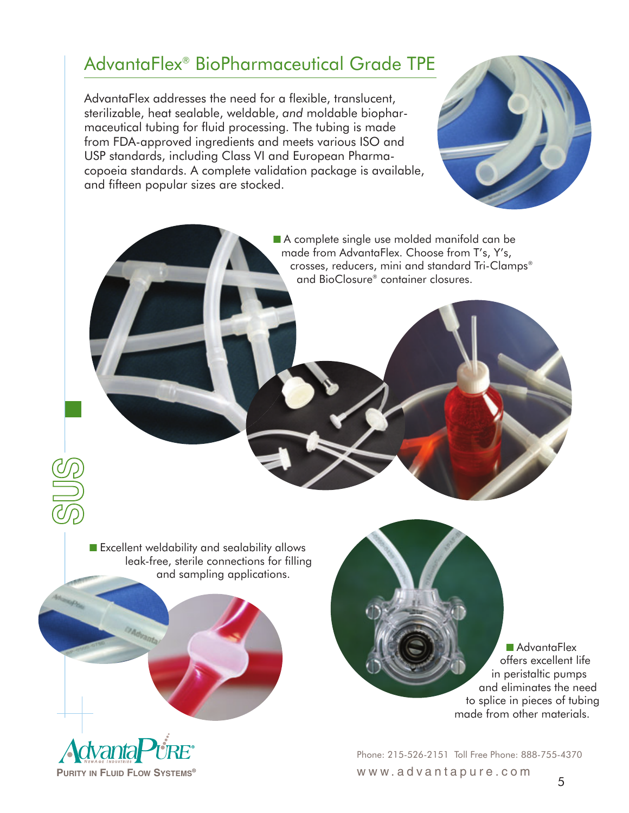#### AdvantaFlex® BioPharmaceutical Grade TPE

AdvantaFlex addresses the need for a flexible, translucent, sterilizable, heat sealable, weldable, *and* moldable biopharmaceutical tubing for fluid processing. The tubing is made from FDA-approved ingredients and meets various ISO and USP standards, including Class VI and European Pharmacopoeia standards. A complete validation package is available, and fifteen popular sizes are stocked.



■ A complete single use molded manifold can be made from AdvantaFlex. Choose from T's, Y's, crosses, reducers, mini and standard Tri-Clamps® and BioClosure® container closures.

■ Excellent weldability and sealability allows leak-free, sterile connections for filling and sampling applications.



Adva

■ AdvantaFlex offers excellent life in peristaltic pumps and eliminates the need to splice in pieces of tubing made from other materials.

Phone: 215-526-2151 Toll Free Phone: 888-755-4370 www.advantapure.com